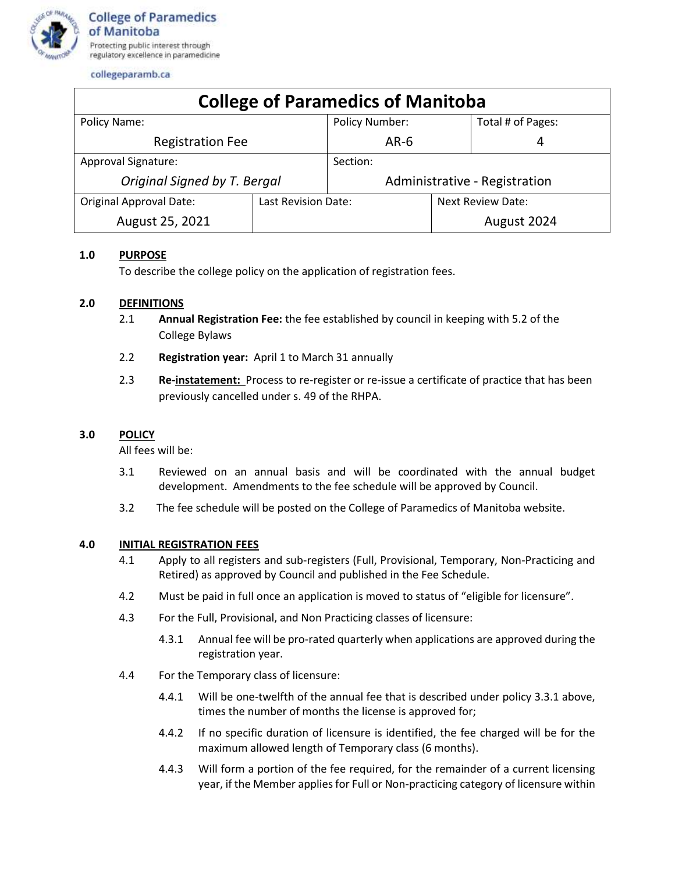

collegeparamb.ca

| <b>College of Paramedics of Manitoba</b> |                     |                               |                          |                   |  |
|------------------------------------------|---------------------|-------------------------------|--------------------------|-------------------|--|
| Policy Name:                             |                     | Policy Number:                |                          | Total # of Pages: |  |
| <b>Registration Fee</b>                  |                     | $AR-6$                        |                          | 4                 |  |
| Approval Signature:                      |                     | Section:                      |                          |                   |  |
| Original Signed by T. Bergal             |                     | Administrative - Registration |                          |                   |  |
| <b>Original Approval Date:</b>           | Last Revision Date: |                               | <b>Next Review Date:</b> |                   |  |
| August 25, 2021                          |                     |                               |                          | August 2024       |  |

# **1.0 PURPOSE**

To describe the college policy on the application of registration fees.

## **2.0 DEFINITIONS**

- 2.1 **Annual Registration Fee:** the fee established by council in keeping with 5.2 of the College Bylaws
- 2.2 **Registration year:** April 1 to March 31 annually
- 2.3 **Re-instatement:** Process to re-register or re-issue a certificate of practice that has been previously cancelled under s. 49 of the RHPA.

## **3.0 POLICY**

All fees will be:

- 3.1 Reviewed on an annual basis and will be coordinated with the annual budget development. Amendments to the fee schedule will be approved by Council.
- 3.2 The fee schedule will be posted on the College of Paramedics of Manitoba website.

## **4.0 INITIAL REGISTRATION FEES**

- 4.1 Apply to all registers and sub-registers (Full, Provisional, Temporary, Non-Practicing and Retired) as approved by Council and published in the Fee Schedule.
- 4.2 Must be paid in full once an application is moved to status of "eligible for licensure".
- 4.3 For the Full, Provisional, and Non Practicing classes of licensure:
	- 4.3.1 Annual fee will be pro-rated quarterly when applications are approved during the registration year.
- 4.4 For the Temporary class of licensure:
	- 4.4.1 Will be one-twelfth of the annual fee that is described under policy 3.3.1 above, times the number of months the license is approved for;
	- 4.4.2 If no specific duration of licensure is identified, the fee charged will be for the maximum allowed length of Temporary class (6 months).
	- 4.4.3 Will form a portion of the fee required, for the remainder of a current licensing year, if the Member applies for Full or Non-practicing category of licensure within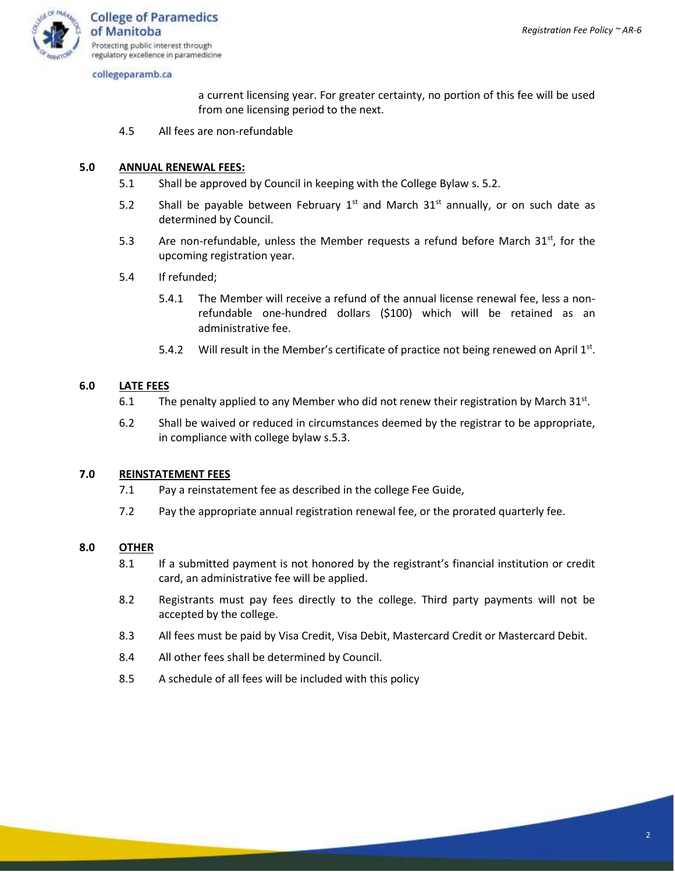

collegeparamb.ca

a current licensing year. For greater certainty, no portion of this fee will be used from one licensing period to the next.

4.5 All fees are non-refundable

## **5.0 ANNUAL RENEWAL FEES:**

- 5.1 Shall be approved by Council in keeping with the College Bylaw s. 5.2.
- 5.2 Shall be payable between February  $1^{st}$  and March  $31^{st}$  annually, or on such date as determined by Council.
- 5.3 Are non-refundable, unless the Member requests a refund before March  $31^{st}$ , for the upcoming registration year.
- 5.4 If refunded;
	- 5.4.1 The Member will receive a refund of the annual license renewal fee, less a nonrefundable one-hundred dollars (\$100) which will be retained as an administrative fee.
	- 5.4.2 Will result in the Member's certificate of practice not being renewed on April  $1<sup>st</sup>$ .

## **6.0 LATE FEES**

- 6.1 The penalty applied to any Member who did not renew their registration by March  $31^{st}$ .
- 6.2 Shall be waived or reduced in circumstances deemed by the registrar to be appropriate, in compliance with college bylaw s.5.3.

#### **7.0 REINSTATEMENT FEES**

- 7.1 Pay a reinstatement fee as described in the college Fee Guide,
- 7.2 Pay the appropriate annual registration renewal fee, or the prorated quarterly fee.

#### **8.0 OTHER**

- 8.1 If a submitted payment is not honored by the registrant's financial institution or credit card, an administrative fee will be applied.
- 8.2 Registrants must pay fees directly to the college. Third party payments will not be accepted by the college.
- 8.3 All fees must be paid by Visa Credit, Visa Debit, Mastercard Credit or Mastercard Debit.
- 8.4 All other fees shall be determined by Council.
- 8.5 A schedule of all fees will be included with this policy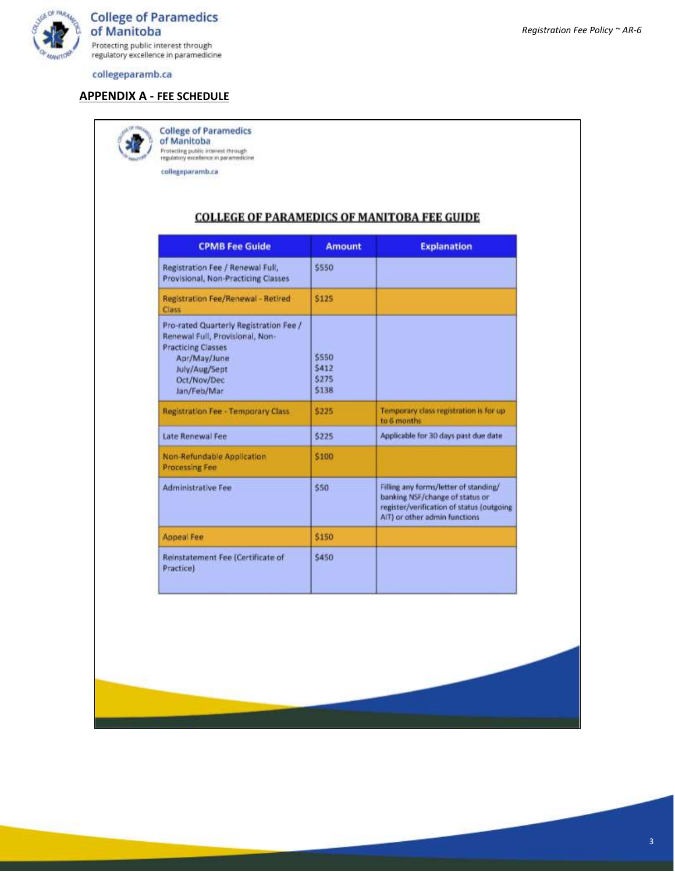

**College of Paramedics** of Manitoba Protecting public interest through<br>regulatory excellence in paramedicine

collegeparamb.ca

#### **APPENDIX A - FEE SCHEDULE**

**College of Paramedics** of Manitoba Protecting public interest through<br>regulatory excellence in paramedicine

collegeparamb.ca

# **COLLEGE OF PARAMEDICS OF MANITOBA FEE GUIDE**

| <b>CPMB Fee Guide</b>                                                                                                                                                 | <b>Amount</b>                    | <b>Explanation</b>                                                                                                                                     |
|-----------------------------------------------------------------------------------------------------------------------------------------------------------------------|----------------------------------|--------------------------------------------------------------------------------------------------------------------------------------------------------|
| Registration Fee / Renewal Full,<br>Provisional, Non-Practicing Classes                                                                                               | \$550                            |                                                                                                                                                        |
| Registration Fee/Renewal - Retired<br>Class                                                                                                                           | \$125                            |                                                                                                                                                        |
| Pro-rated Quarterly Registration Fee /<br>Renewal Full, Provisional, Non-<br><b>Practicing Classes</b><br>Apr/May/June<br>July/Aug/Sept<br>Oct/Nov/Dec<br>Jan/Feb/Mar | \$550<br>\$412<br>\$275<br>\$138 |                                                                                                                                                        |
| Registration Fee - Temporary Class                                                                                                                                    | \$225                            | Temporary class registration is for up<br>to 6 months                                                                                                  |
| Late Renewal Fee                                                                                                                                                      | \$225                            | Applicable for 30 days past due date                                                                                                                   |
| Non-Refundable Application<br><b>Processing Fee</b>                                                                                                                   | \$100                            |                                                                                                                                                        |
| <b>Administrative Fee</b>                                                                                                                                             | \$50                             | Filling any forms/letter of standing/<br>banking NSF/change of status or<br>register/verification of status (outgoing<br>AiT) or other admin functions |
| <b>Appeal Fee</b>                                                                                                                                                     | \$150                            |                                                                                                                                                        |
| Reinstatement Fee (Certificate of<br>Practice)                                                                                                                        | \$450                            |                                                                                                                                                        |